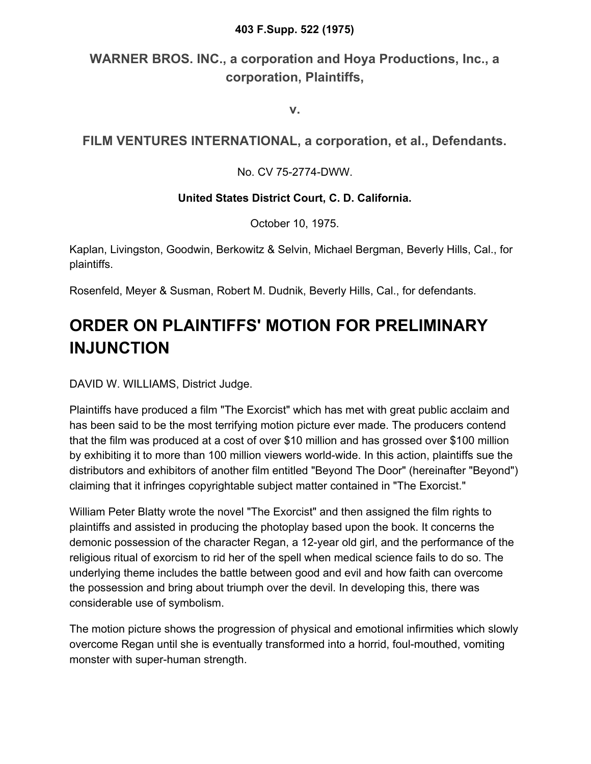#### **403 F.Supp. 522 (1975)**

### **WARNER BROS. INC., a corporation and Hoya Productions, Inc., a corporation, Plaintiffs,**

**v.**

#### **FILM VENTURES INTERNATIONAL, a corporation, et al., Defendants.**

#### No. CV 75-2774-DWW.

#### **United States District Court, C. D. California.**

October 10, 1975.

Kaplan, Livingston, Goodwin, Berkowitz & Selvin, Michael Bergman, Beverly Hills, Cal., for plaintiffs.

Rosenfeld, Meyer & Susman, Robert M. Dudnik, Beverly Hills, Cal., for defendants.

## **ORDER ON PLAINTIFFS' MOTION FOR PRELIMINARY INJUNCTION**

DAVID W. WILLIAMS, District Judge.

Plaintiffs have produced a film "The Exorcist" which has met with great public acclaim and has been said to be the most terrifying motion picture ever made. The producers contend that the film was produced at a cost of over \$10 million and has grossed over \$100 million by exhibiting it to more than 100 million viewers world-wide. In this action, plaintiffs sue the distributors and exhibitors of another film entitled "Beyond The Door" (hereinafter "Beyond") claiming that it infringes copyrightable subject matter contained in "The Exorcist."

William Peter Blatty wrote the novel "The Exorcist" and then assigned the film rights to plaintiffs and assisted in producing the photoplay based upon the book. It concerns the demonic possession of the character Regan, a 12-year old girl, and the performance of the religious ritual of exorcism to rid her of the spell when medical science fails to do so. The underlying theme includes the battle between good and evil and how faith can overcome the possession and bring about triumph over the devil. In developing this, there was considerable use of symbolism.

The motion picture shows the progression of physical and emotional infirmities which slowly overcome Regan until she is eventually transformed into a horrid, foul-mouthed, vomiting monster with super-human strength.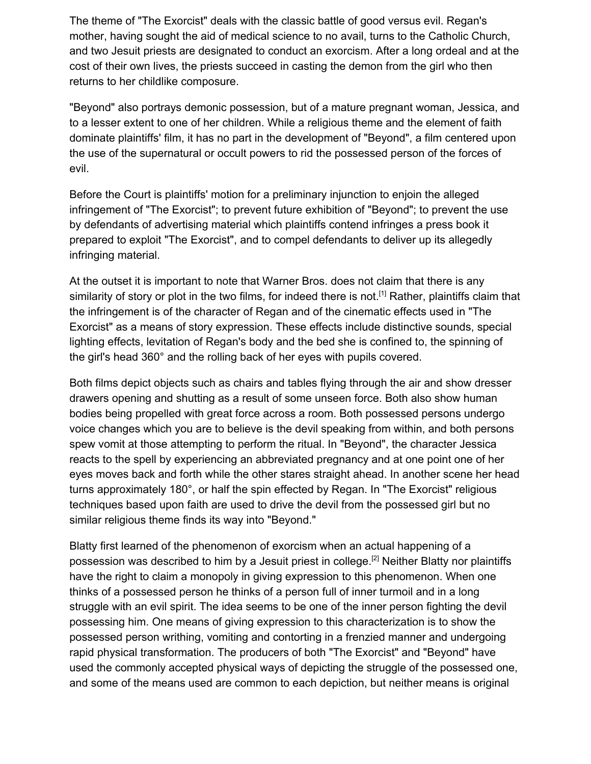The theme of "The Exorcist" deals with the classic battle of good versus evil. Regan's mother, having sought the aid of medical science to no avail, turns to the Catholic Church, and two Jesuit priests are designated to conduct an exorcism. After a long ordeal and at the cost of their own lives, the priests succeed in casting the demon from the girl who then returns to her childlike composure.

"Beyond" also portrays demonic possession, but of a mature pregnant woman, Jessica, and to a lesser extent to one of her children. While a religious theme and the element of faith dominate plaintiffs' film, it has no part in the development of "Beyond", a film centered upon the use of the supernatural or occult powers to rid the possessed person of the forces of evil.

Before the Court is plaintiffs' motion for a preliminary injunction to enjoin the alleged infringement of "The Exorcist"; to prevent future exhibition of "Beyond"; to prevent the use by defendants of advertising material which plaintiffs contend infringes a press book it prepared to exploit "The Exorcist", and to compel defendants to deliver up its allegedly infringing material.

At the outset it is important to note that Warner Bros. does not claim that there is any similarity of story or plot in the two films, for indeed there is not.<sup>[1]</sup> Rather, plaintiffs claim that the infringement is of the character of Regan and of the cinematic effects used in "The Exorcist" as a means of story expression. These effects include distinctive sounds, special lighting effects, levitation of Regan's body and the bed she is confined to, the spinning of the girl's head 360° and the rolling back of her eyes with pupils covered.

Both films depict objects such as chairs and tables flying through the air and show dresser drawers opening and shutting as a result of some unseen force. Both also show human bodies being propelled with great force across a room. Both possessed persons undergo voice changes which you are to believe is the devil speaking from within, and both persons spew vomit at those attempting to perform the ritual. In "Beyond", the character Jessica reacts to the spell by experiencing an abbreviated pregnancy and at one point one of her eyes moves back and forth while the other stares straight ahead. In another scene her head turns approximately 180°, or half the spin effected by Regan. In "The Exorcist" religious techniques based upon faith are used to drive the devil from the possessed girl but no similar religious theme finds its way into "Beyond."

Blatty first learned of the phenomenon of exorcism when an actual happening of a possession was described to him by a Jesuit priest in college.[2] Neither Blatty nor plaintiffs have the right to claim a monopoly in giving expression to this phenomenon. When one thinks of a possessed person he thinks of a person full of inner turmoil and in a long struggle with an evil spirit. The idea seems to be one of the inner person fighting the devil possessing him. One means of giving expression to this characterization is to show the possessed person writhing, vomiting and contorting in a frenzied manner and undergoing rapid physical transformation. The producers of both "The Exorcist" and "Beyond" have used the commonly accepted physical ways of depicting the struggle of the possessed one, and some of the means used are common to each depiction, but neither means is original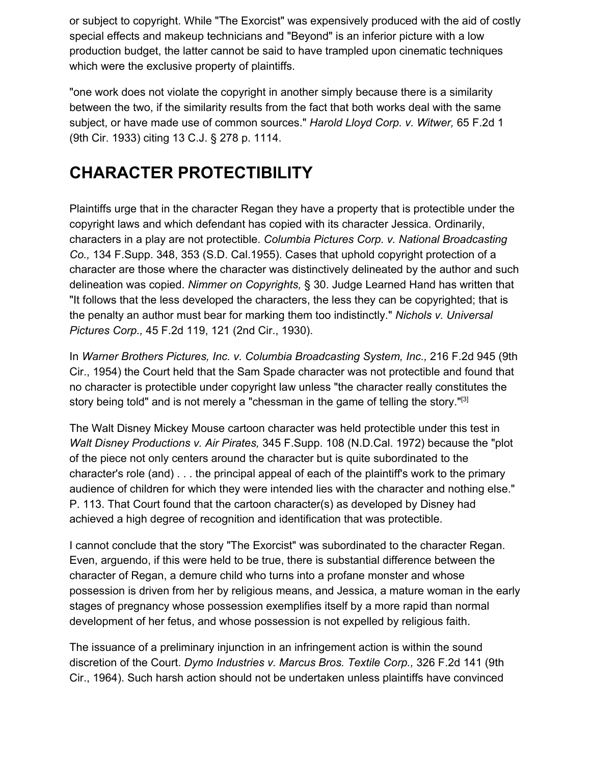or subject to copyright. While "The Exorcist" was expensively produced with the aid of costly special effects and makeup technicians and "Beyond" is an inferior picture with a low production budget, the latter cannot be said to have trampled upon cinematic techniques which were the exclusive property of plaintiffs.

"one work does not violate the copyright in another simply because there is a similarity between the two, if the similarity results from the fact that both works deal with the same subject, or have made use of common sources." *Harold Lloyd Corp. v. Witwer,* 65 F.2d 1 (9th Cir. 1933) citing 13 C.J. § 278 p. 1114.

# **CHARACTER PROTECTIBILITY**

Plaintiffs urge that in the character Regan they have a property that is protectible under the copyright laws and which defendant has copied with its character Jessica. Ordinarily, characters in a play are not protectible. *Columbia Pictures Corp. v. National Broadcasting Co.,* 134 F.Supp. 348, 353 (S.D. Cal.1955). Cases that uphold copyright protection of a character are those where the character was distinctively delineated by the author and such delineation was copied. *Nimmer on Copyrights,* § 30. Judge Learned Hand has written that "It follows that the less developed the characters, the less they can be copyrighted; that is the penalty an author must bear for marking them too indistinctly." *Nichols v. Universal Pictures Corp.,* 45 F.2d 119, 121 (2nd Cir., 1930).

In *Warner Brothers Pictures, Inc. v. Columbia Broadcasting System, Inc.,* 216 F.2d 945 (9th Cir., 1954) the Court held that the Sam Spade character was not protectible and found that no character is protectible under copyright law unless "the character really constitutes the story being told" and is not merely a "chessman in the game of telling the story."[3]

The Walt Disney Mickey Mouse cartoon character was held protectible under this test in *Walt Disney Productions v. Air Pirates,* 345 F.Supp. 108 (N.D.Cal. 1972) because the "plot of the piece not only centers around the character but is quite subordinated to the character's role (and) . . . the principal appeal of each of the plaintiff's work to the primary audience of children for which they were intended lies with the character and nothing else." P. 113. That Court found that the cartoon character(s) as developed by Disney had achieved a high degree of recognition and identification that was protectible.

I cannot conclude that the story "The Exorcist" was subordinated to the character Regan. Even, arguendo, if this were held to be true, there is substantial difference between the character of Regan, a demure child who turns into a profane monster and whose possession is driven from her by religious means, and Jessica, a mature woman in the early stages of pregnancy whose possession exemplifies itself by a more rapid than normal development of her fetus, and whose possession is not expelled by religious faith.

The issuance of a preliminary injunction in an infringement action is within the sound discretion of the Court. *Dymo Industries v. Marcus Bros. Textile Corp.,* 326 F.2d 141 (9th Cir., 1964). Such harsh action should not be undertaken unless plaintiffs have convinced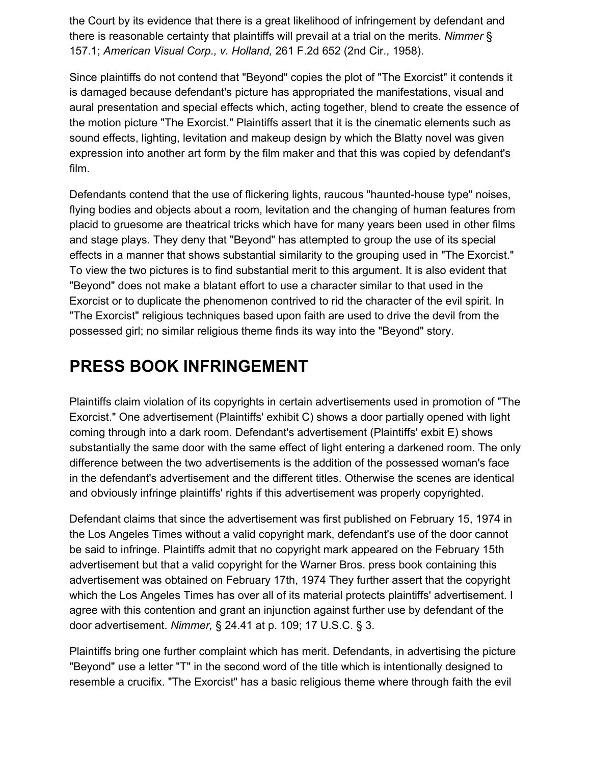the Court by its evidence that there is a great likelihood of infringement by defendant and there is reasonable certainty that plaintiffs will prevail at a trial on the merits. *Nimmer* § 157.1; *American Visual Corp., v. Holland,* 261 F.2d 652 (2nd Cir., 1958).

Since plaintiffs do not contend that "Beyond" copies the plot of "The Exorcist" it contends it is damaged because defendant's picture has appropriated the manifestations, visual and aural presentation and special effects which, acting together, blend to create the essence of the motion picture "The Exorcist." Plaintiffs assert that it is the cinematic elements such as sound effects, lighting, levitation and makeup design by which the Blatty novel was given expression into another art form by the film maker and that this was copied by defendant's film.

Defendants contend that the use of flickering lights, raucous "haunted-house type" noises, flying bodies and objects about a room, levitation and the changing of human features from placid to gruesome are theatrical tricks which have for many years been used in other films and stage plays. They deny that "Beyond" has attempted to group the use of its special effects in a manner that shows substantial similarity to the grouping used in "The Exorcist." To view the two pictures is to find substantial merit to this argument. It is also evident that "Beyond" does not make a blatant effort to use a character similar to that used in the Exorcist or to duplicate the phenomenon contrived to rid the character of the evil spirit. In "The Exorcist" religious techniques based upon faith are used to drive the devil from the possessed girl; no similar religious theme finds its way into the "Beyond" story.

### **PRESS BOOK INFRINGEMENT**

Plaintiffs claim violation of its copyrights in certain advertisements used in promotion of "The Exorcist." One advertisement (Plaintiffs' exhibit C) shows a door partially opened with light coming through into a dark room. Defendant's advertisement (Plaintiffs' exbit E) shows substantially the same door with the same effect of light entering a darkened room. The only difference between the two advertisements is the addition of the possessed woman's face in the defendant's advertisement and the different titles. Otherwise the scenes are identical and obviously infringe plaintiffs' rights if this advertisement was properly copyrighted.

Defendant claims that since the advertisement was first published on February 15, 1974 in the Los Angeles Times without a valid copyright mark, defendant's use of the door cannot be said to infringe. Plaintiffs admit that no copyright mark appeared on the February 15th advertisement but that a valid copyright for the Warner Bros. press book containing this advertisement was obtained on February 17th, 1974 They further assert that the copyright which the Los Angeles Times has over all of its material protects plaintiffs' advertisement. I agree with this contention and grant an injunction against further use by defendant of the door advertisement. *Nimmer,* § 24.41 at p. 109; 17 U.S.C. § 3.

Plaintiffs bring one further complaint which has merit. Defendants, in advertising the picture "Beyond" use a letter "T" in the second word of the title which is intentionally designed to resemble a crucifix. "The Exorcist" has a basic religious theme where through faith the evil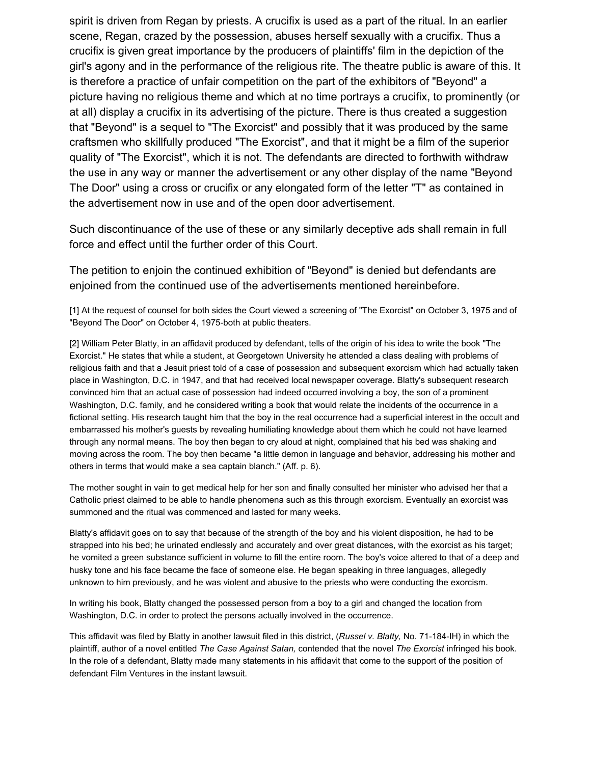spirit is driven from Regan by priests. A crucifix is used as a part of the ritual. In an earlier scene, Regan, crazed by the possession, abuses herself sexually with a crucifix. Thus a crucifix is given great importance by the producers of plaintiffs' film in the depiction of the girl's agony and in the performance of the religious rite. The theatre public is aware of this. It is therefore a practice of unfair competition on the part of the exhibitors of "Beyond" a picture having no religious theme and which at no time portrays a crucifix, to prominently (or at all) display a crucifix in its advertising of the picture. There is thus created a suggestion that "Beyond" is a sequel to "The Exorcist" and possibly that it was produced by the same craftsmen who skillfully produced "The Exorcist", and that it might be a film of the superior quality of "The Exorcist", which it is not. The defendants are directed to forthwith withdraw the use in any way or manner the advertisement or any other display of the name "Beyond The Door" using a cross or crucifix or any elongated form of the letter "T" as contained in the advertisement now in use and of the open door advertisement.

Such discontinuance of the use of these or any similarly deceptive ads shall remain in full force and effect until the further order of this Court.

The petition to enjoin the continued exhibition of "Beyond" is denied but defendants are enjoined from the continued use of the advertisements mentioned hereinbefore.

[1] At the request of counsel for both sides the Court viewed a screening of "The Exorcist" on October 3, 1975 and of "Beyond The Door" on October 4, 1975-both at public theaters.

[2] William Peter Blatty, in an affidavit produced by defendant, tells of the origin of his idea to write the book "The Exorcist." He states that while a student, at Georgetown University he attended a class dealing with problems of religious faith and that a Jesuit priest told of a case of possession and subsequent exorcism which had actually taken place in Washington, D.C. in 1947, and that had received local newspaper coverage. Blatty's subsequent research convinced him that an actual case of possession had indeed occurred involving a boy, the son of a prominent Washington, D.C. family, and he considered writing a book that would relate the incidents of the occurrence in a fictional setting. His research taught him that the boy in the real occurrence had a superficial interest in the occult and embarrassed his mother's guests by revealing humiliating knowledge about them which he could not have learned through any normal means. The boy then began to cry aloud at night, complained that his bed was shaking and moving across the room. The boy then became "a little demon in language and behavior, addressing his mother and others in terms that would make a sea captain blanch." (Aff. p. 6).

The mother sought in vain to get medical help for her son and finally consulted her minister who advised her that a Catholic priest claimed to be able to handle phenomena such as this through exorcism. Eventually an exorcist was summoned and the ritual was commenced and lasted for many weeks.

Blatty's affidavit goes on to say that because of the strength of the boy and his violent disposition, he had to be strapped into his bed; he urinated endlessly and accurately and over great distances, with the exorcist as his target; he vomited a green substance sufficient in volume to fill the entire room. The boy's voice altered to that of a deep and husky tone and his face became the face of someone else. He began speaking in three languages, allegedly unknown to him previously, and he was violent and abusive to the priests who were conducting the exorcism.

In writing his book, Blatty changed the possessed person from a boy to a girl and changed the location from Washington, D.C. in order to protect the persons actually involved in the occurrence.

This affidavit was filed by Blatty in another lawsuit filed in this district, (*Russel v. Blatty,* No. 71-184-IH) in which the plaintiff, author of a novel entitled *The Case Against Satan,* contended that the novel *The Exorcist* infringed his book. In the role of a defendant, Blatty made many statements in his affidavit that come to the support of the position of defendant Film Ventures in the instant lawsuit.